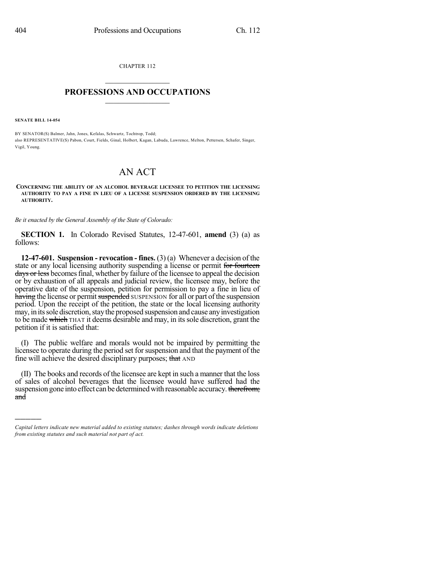CHAPTER 112  $\mathcal{L}_\text{max}$  . The set of the set of the set of the set of the set of the set of the set of the set of the set of the set of the set of the set of the set of the set of the set of the set of the set of the set of the set

## **PROFESSIONS AND OCCUPATIONS**  $\frac{1}{2}$  ,  $\frac{1}{2}$  ,  $\frac{1}{2}$  ,  $\frac{1}{2}$  ,  $\frac{1}{2}$  ,  $\frac{1}{2}$  ,  $\frac{1}{2}$

**SENATE BILL 14-054**

)))))

BY SENATOR(S) Balmer, Jahn, Jones, Kefalas, Schwartz, Tochtrop, Todd; also REPRESENTATIVE(S) Pabon, Court, Fields, Ginal, Holbert, Kagan, Labuda, Lawrence, Melton, Pettersen, Schafer, Singer, Vigil, Young.

## AN ACT

## **CONCERNING THE ABILITY OF AN ALCOHOL BEVERAGE LICENSEE TO PETITION THE LICENSING AUTHORITY TO PAY A FINE IN LIEU OF A LICENSE SUSPENSION ORDERED BY THE LICENSING AUTHORITY.**

*Be it enacted by the General Assembly of the State of Colorado:*

**SECTION 1.** In Colorado Revised Statutes, 12-47-601, **amend** (3) (a) as follows:

**12-47-601. Suspension - revocation - fines.** (3) (a) Whenever a decision of the state or any local licensing authority suspending a license or permit for fourteen days or less becomes final, whether by failure of the licensee to appeal the decision or by exhaustion of all appeals and judicial review, the licensee may, before the operative date of the suspension, petition for permission to pay a fine in lieu of having the license or permit suspended SUSPENSION for all or part of the suspension period. Upon the receipt of the petition, the state or the local licensing authority may, in its sole discretion, stay the proposed suspension and cause any investigation to be made which THAT it deems desirable and may, in its sole discretion, grant the petition if it is satisfied that:

(I) The public welfare and morals would not be impaired by permitting the licensee to operate during the period set for suspension and that the payment of the fine will achieve the desired disciplinary purposes; that AND

(II) The books and records of the licensee are kept in such a manner that the loss of sales of alcohol beverages that the licensee would have suffered had the suspension gone into effect can be determined with reasonable accuracy. therefrom; and

*Capital letters indicate new material added to existing statutes; dashes through words indicate deletions from existing statutes and such material not part of act.*